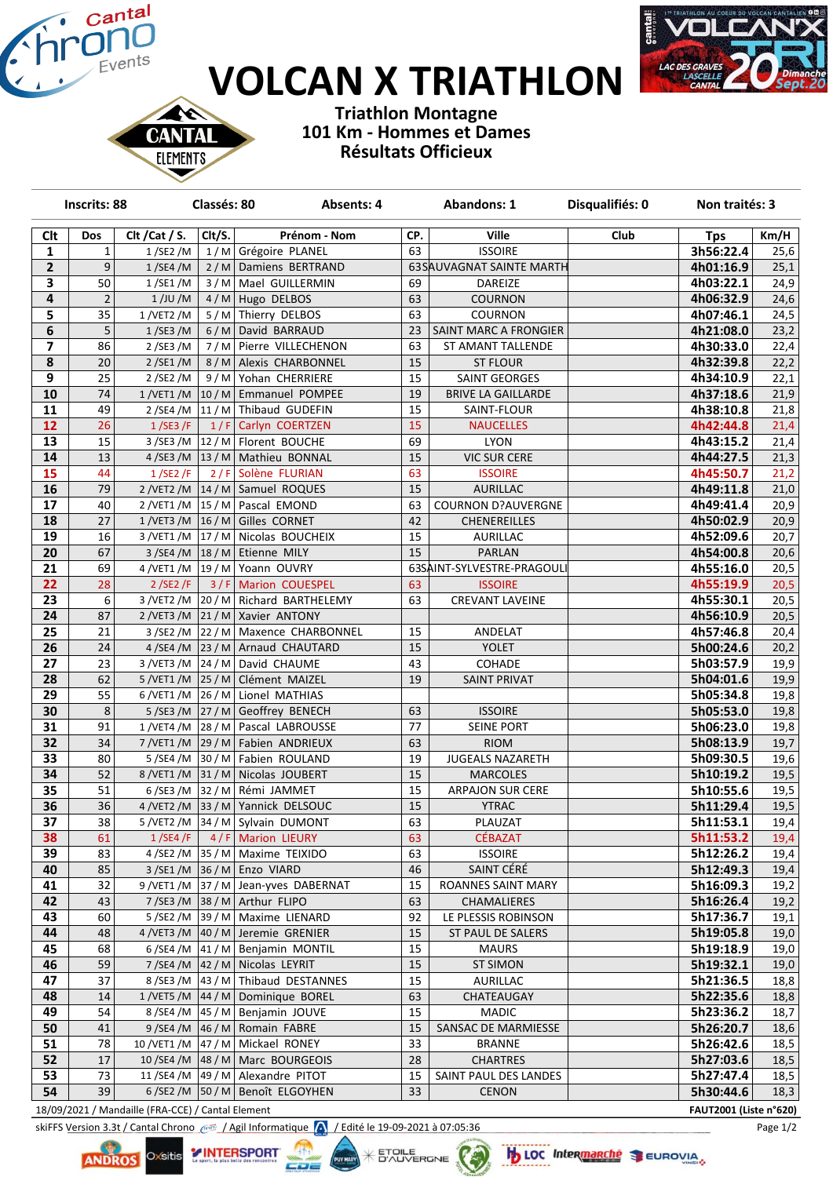## **VOLCAN X TRIATHLON**



**Triathlon Montagne 101 Km - Hommes et Dames Résultats Officieux**

∾ **CANTAL ELEMENTS** 

|                         | <b>Inscrits: 88</b> |                | Classés: 80 | Absents: 4                                                 |          | <b>Abandons: 1</b>           | Disqualifiés: 0 | Non traités: 3         |              |
|-------------------------|---------------------|----------------|-------------|------------------------------------------------------------|----------|------------------------------|-----------------|------------------------|--------------|
| <b>Clt</b>              | Dos                 | Clt / Cat / S. | Clt/S.      | Prénom - Nom                                               | CP.      | <b>Ville</b>                 | Club            | <b>Tps</b>             | Km/H         |
| $\mathbf 1$             | 1                   | 1/SE2/M        |             | 1/M Grégoire PLANEL                                        | 63       | <b>ISSOIRE</b>               |                 | 3h56:22.4              | 25,6         |
| $\mathbf{2}$            | $\boldsymbol{9}$    | 1/SE4/M        |             | 2/M Damiens BERTRAND                                       |          | 63 SAUVAGNAT SAINTE MARTH    |                 | 4h01:16.9              | 25,1         |
| 3                       | 50                  | 1/SE1/M        |             | 3/M   Mael GUILLERMIN                                      | 69       | DAREIZE                      |                 | 4h03:22.1              | 24,9         |
| 4                       | $\overline{2}$      | 1/JU/M         |             | 4/M Hugo DELBOS                                            | 63       | <b>COURNON</b>               |                 | 4h06:32.9              | 24,6         |
| 5                       | $\overline{35}$     | 1/VET2/M       |             | 5/M Thierry DELBOS                                         | 63       | COURNON                      |                 | 4h07:46.1              | 24,5         |
| 6                       | 5                   | 1/SE3/M        |             | 6/M David BARRAUD                                          | 23       | SAINT MARC A FRONGIER        |                 | 4h21:08.0              | 23,2         |
| $\overline{\mathbf{z}}$ | 86                  | 2/SE3/M        |             | 7/M Pierre VILLECHENON                                     | 63       | ST AMANT TALLENDE            |                 | 4h30:33.0              | 22,4         |
| $\pmb{8}$               | 20                  | 2/SE1/M        |             | 8 / M   Alexis CHARBONNEL                                  | 15       | <b>ST FLOUR</b>              |                 | 4h32:39.8              | 22,2         |
| 9                       | $\overline{25}$     | 2/SE2/M        |             | 9/M Yohan CHERRIERE                                        | 15       | SAINT GEORGES                |                 | 4h34:10.9              | 22,1         |
| 10                      | 74                  |                |             | $1/VET1/M$ 10 / M Emmanuel POMPEE                          | 19       | <b>BRIVE LA GAILLARDE</b>    |                 | 4h37:18.6              | 21,9         |
| 11                      | 49                  |                |             | 2/SE4/M 11/M Thibaud GUDEFIN                               | 15       | SAINT-FLOUR                  |                 | 4h38:10.8              | 21,8         |
| 12                      | 26                  | 1/SE3/F        |             | 1/F Carlyn COERTZEN                                        | 15       | <b>NAUCELLES</b>             |                 | 4h42:44.8              | 21,4         |
| $\overline{13}$         | 15                  |                |             | 3/SE3/M   12/M   Florent BOUCHE                            | 69       | <b>LYON</b>                  |                 | 4h43:15.2              | 21,4         |
| 14                      | 13                  |                |             | 4/SE3/M $\vert$ 13/M   Mathieu BONNAL                      | 15       | <b>VIC SUR CERE</b>          |                 | 4h44:27.5              | 21,3         |
| 15                      | 44                  | 1/SE2/F        |             | 2/F Solène FLURIAN                                         | 63       | <b>ISSOIRE</b>               |                 | 4h45:50.7              | 21,2         |
| 16                      | 79                  |                |             | $2$ /VET2 /M $\vert$ 14 / M $\vert$ Samuel ROQUES          | 15       | <b>AURILLAC</b>              |                 | 4h49:11.8              | 21,0         |
| 17                      | 40                  |                |             | 2/VET1/M 15/M Pascal EMOND                                 | 63       | <b>COURNON D?AUVERGNE</b>    |                 | 4h49:41.4              | 20,9         |
| 18                      | 27                  |                |             | 1/VET3/M 16/M Gilles CORNET                                | 42       | <b>CHENEREILLES</b>          |                 | 4h50:02.9              | 20,9         |
| 19                      | 16                  |                |             | 3/VET1/M 17/M Nicolas BOUCHEIX                             | 15       | AURILLAC                     |                 | 4h52:09.6              | 20,7         |
| 20                      | 67                  |                |             | $3/SE4/M$ 18 / M Etienne MILY                              | 15       | PARLAN                       |                 | 4h54:00.8              | 20,6         |
| 21                      | 69                  |                |             | 4/VET1/M   19/M   Yoann OUVRY                              |          | 63SAINT-SYLVESTRE-PRAGOULI   |                 | 4h55:16.0              | 20,5         |
| $\overline{22}$         | $\overline{28}$     |                |             | 2/SE2/F 3/F Marion COUESPEL                                | 63       | <b>ISSOIRE</b>               |                 | 4h55:19.9              | 20,5         |
| 23                      | 6                   |                |             | 3/VET2/M 20/M Richard BARTHELEMY                           | 63       | <b>CREVANT LAVEINE</b>       |                 | 4h55:30.1              | 20,5         |
| 24                      | 87                  |                |             | 2/VET3/M 21/M Xavier ANTONY                                |          |                              |                 | 4h56:10.9              | 20,5         |
| 25                      | 21                  |                |             | 3/SE2/M 22/M Maxence CHARBONNEL                            | 15       | ANDELAT                      |                 | 4h57:46.8              | 20,4         |
| 26                      | 24                  |                |             | 4/SE4/M 23/M Arnaud CHAUTARD                               | 15       | YOLET                        |                 | 5h00:24.6              | 20,2         |
| 27                      | 23                  |                |             | 3 /VET3 /M 24 / M David CHAUME                             | 43       | COHADE                       |                 | 5h03:57.9              | 19,9         |
| 28                      | 62                  |                |             | 5/VET1/M 25/M Clément MAIZEL                               | 19       | <b>SAINT PRIVAT</b>          |                 | 5h04:01.6              | 19,9         |
| 29                      | 55                  |                |             | 6/VET1/M 26/M Lionel MATHIAS                               |          |                              |                 | 5h05:34.8              | 19,8         |
| 30                      | $\,8\,$             |                |             | 5/SE3/M $\left 27/M\right $ Geoffrey BENECH                | 63       | <b>ISSOIRE</b>               |                 | 5h05:53.0              | 19,8         |
| $\overline{31}$         | 91                  |                |             | 1/VET4/M 28/M Pascal LABROUSSE                             | 77       | <b>SEINE PORT</b>            |                 | 5h06:23.0              | 19,8         |
| 32                      | 34                  |                |             | 7/VET1/M 29/M Fabien ANDRIEUX                              | 63       | <b>RIOM</b>                  |                 | 5h08:13.9              | 19,7         |
| 33                      | 80                  |                |             | 5/SE4/M 30/M   Fabien ROULAND                              | 19       | <b>JUGEALS NAZARETH</b>      |                 | 5h09:30.5              | 19,6         |
| 34                      | 52                  |                |             | 8/VET1/M 31/M Nicolas JOUBERT                              | 15       | <b>MARCOLES</b>              |                 | 5h10:19.2              | 19,5         |
| 35                      | 51                  |                |             | 6/SE3/M 32/M Rémi JAMMET                                   | 15       | <b>ARPAJON SUR CERE</b>      |                 | 5h10:55.6              | 19,5         |
| 36                      | 36                  |                |             | 4/VET2/M 33/M Yannick DELSOUC                              | 15       | <b>YTRAC</b>                 |                 | 5h11:29.4              | 19,5         |
| 37                      | 38<br>61            |                |             | 5/VET2/M 34/M Sylvain DUMONT                               | 63<br>63 | PLAUZAT                      |                 | 5h11:53.1              | 19,4         |
| 38<br>39                | 83                  | 1/SE4/F        |             | 4/F Marion LIEURY                                          |          | <b>CÉBAZAT</b>               |                 | 5h11:53.2<br>5h12:26.2 | 19,4         |
| 40                      | 85                  |                |             | 4/SE2/M 35/M   Maxime TEIXIDO<br>3/SE1/M 36/M   Enzo VIARD | 63<br>46 | <b>ISSOIRE</b><br>SAINT CÉRÉ |                 | 5h12:49.3              | 19,4<br>19,4 |
| 41                      | 32                  |                |             | 9/VET1/M 37/M Jean-yves DABERNAT                           | 15       | ROANNES SAINT MARY           |                 | 5h16:09.3              | 19,2         |
| 42                      | 43                  |                |             | 7/SE3/M 38/M Arthur FLIPO                                  | 63       | <b>CHAMALIERES</b>           |                 | 5h16:26.4              | 19,2         |
| 43                      | 60                  |                |             | 5/SE2/M 39/M Maxime LIENARD                                | 92       | LE PLESSIS ROBINSON          |                 | 5h17:36.7              | 19,1         |
| 44                      | 48                  |                |             | 4/VET3/M 40/M Jeremie GRENIER                              | 15       | ST PAUL DE SALERS            |                 | 5h19:05.8              | 19,0         |
| 45                      | 68                  |                |             | 6/SE4/M $\vert$ 41/M   Benjamin MONTIL                     | 15       | <b>MAURS</b>                 |                 | 5h19:18.9              | 19,0         |
| 46                      | 59                  |                |             | 7/SE4/M 42/M Nicolas LEYRIT                                | 15       | <b>ST SIMON</b>              |                 | 5h19:32.1              | 19,0         |
| 47                      | 37                  |                |             | 8/SE3/M 43/M Thibaud DESTANNES                             | 15       | <b>AURILLAC</b>              |                 | 5h21:36.5              | 18,8         |
| 48                      | 14                  |                |             | $1$ /VET5 /M $\vert$ 44 / M Dominique BOREL                | 63       | CHATEAUGAY                   |                 | 5h22:35.6              | 18,8         |
| 49                      | 54                  |                |             | 8/SE4/M 45/M Benjamin JOUVE                                | 15       | <b>MADIC</b>                 |                 | 5h23:36.2              | 18,7         |
| 50                      | 41                  |                |             | 9/SE4/M 46/M Romain FABRE                                  | 15       | SANSAC DE MARMIESSE          |                 | 5h26:20.7              | 18,6         |
| 51                      | 78                  |                |             | 10 / VET1 / M   47 / M   Mickael RONEY                     | 33       | <b>BRANNE</b>                |                 | 5h26:42.6              | 18,5         |
| 52                      | 17                  |                |             | 10/SE4/M 48/M   Marc BOURGEOIS                             | 28       | <b>CHARTRES</b>              |                 | 5h27:03.6              | 18,5         |
| 53                      | 73                  |                |             | 11/SE4/M 49/M Alexandre PITOT                              | 15       | SAINT PAUL DES LANDES        |                 | 5h27:47.4              | 18,5         |
| 54                      | 39                  |                |             | 6/SE2/M   50/M   Benoît ELGOYHEN                           | 33       | <b>CENON</b>                 |                 | 5h30:44.6              | 18,3         |
|                         |                     |                |             |                                                            |          |                              |                 |                        |              |

**X ETOILE** 

18/09/2021 / Mandaille (FRA-CCE) / Cantal Element **FAUT2001 (Liste n°620)**

**ANDROS** 

Oxsitis

skiFFS Version 3.3t / Cantal Chrono  $\frac{1}{2}$  / Agil Informatique **/ A** / Edité le 19-09-2021 à 07:05:36 Page 1/2

**Lik** 

CDE

**YINTERSPORT** 

**b** LOC Intermanché SEUROVIA